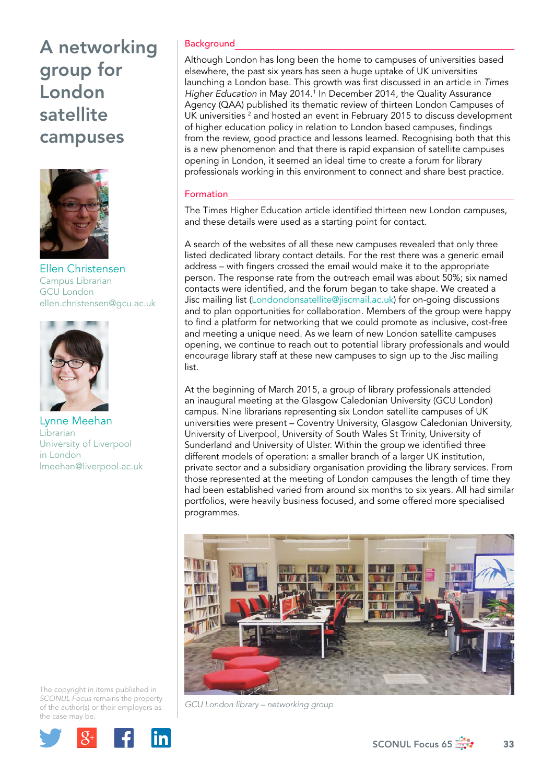

Ellen Christensen Campus Librarian GCU London [ellen.christensen@gcu.ac.uk](mailto:ellen.christensen@gcu.ac.uk)



Lynne Meehan Librarian University of Liverpool in London [lmeehan@liverpool.ac.uk](file:///C:\Users\ech1\AppData\Local\Microsoft\Windows\Temporary%20Internet%20Files\Content.Outlook\J2FQC8KG\lmeehan@liverpool.ac.uk)

The copyright in items published in *SCONUL Focus* remains the property of the author(s) or their employers as the case may be.



### **Background**

Although London has long been the home to campuses of universities based elsewhere, the past six years has seen a huge uptake of UK universities launching a London base. This growth was first discussed in an article in *Times*  Higher Education in May 2014.<sup>1</sup> In December 2014, the Quality Assurance Agency (QAA) published its thematic review of thirteen London Campuses of UK universities <sup>2</sup> and hosted an event in February 2015 to discuss development of higher education policy in relation to London based campuses, findings from the review, good practice and lessons learned. Recognising both that this is a new phenomenon and that there is rapid expansion of satellite campuses opening in London, it seemed an ideal time to create a forum for library professionals working in this environment to connect and share best practice.

#### Formation

The Times Higher Education article identified thirteen new London campuses, and these details were used as a starting point for contact.

A search of the websites of all these new campuses revealed that only three listed dedicated library contact details. For the rest there was a generic email address – with fingers crossed the email would make it to the appropriate person. The response rate from the outreach email was about 50%; six named contacts were identified, and the forum began to take shape. We created a Jisc mailing list (Londondonsatellite[@jiscmail.ac.uk](mailto:@jiscmail.ac/uk)) for on-going discussions and to plan opportunities for collaboration. Members of the group were happy to find a platform for networking that we could promote as inclusive, cost-free and meeting a unique need. As we learn of new London satellite campuses opening, we continue to reach out to potential library professionals and would encourage library staff at these new campuses to sign up to the Jisc mailing list.

At the beginning of March 2015, a group of library professionals attended an inaugural meeting at the Glasgow Caledonian University (GCU London) campus. Nine librarians representing six London satellite campuses of UK universities were present – Coventry University, Glasgow Caledonian University, University of Liverpool, University of South Wales St Trinity, University of Sunderland and University of Ulster. Within the group we identified three different models of operation: a smaller branch of a larger UK institution, private sector and a subsidiary organisation providing the library services. From those represented at the meeting of London campuses the length of time they had been established varied from around six months to six years. All had similar portfolios, were heavily business focused, and some offered more specialised programmes.



*GCU London library – networking group*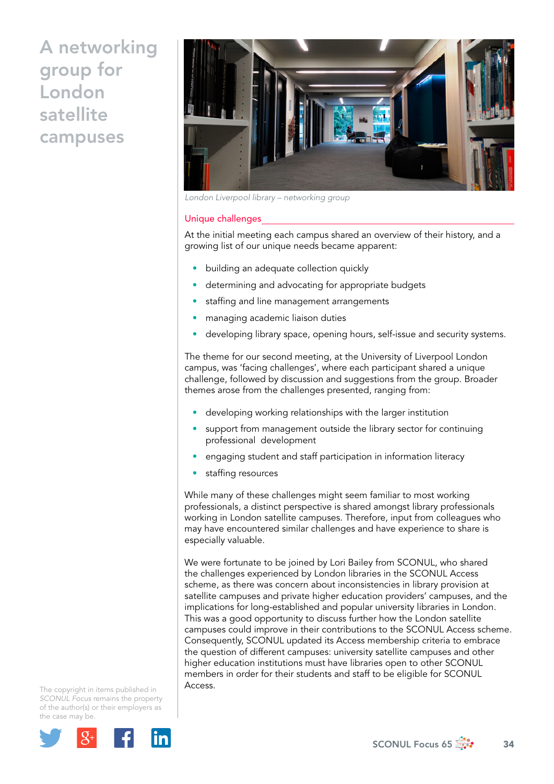

*London Liverpool library – networking group* 

#### Unique challenges

At the initial meeting each campus shared an overview of their history, and a growing list of our unique needs became apparent:

- building an adequate collection quickly
- determining and advocating for appropriate budgets
- staffing and line management arrangements
- managing academic liaison duties
- developing library space, opening hours, self-issue and security systems.

The theme for our second meeting, at the University of Liverpool London campus, was 'facing challenges', where each participant shared a unique challenge, followed by discussion and suggestions from the group. Broader themes arose from the challenges presented, ranging from:

- developing working relationships with the larger institution
- support from management outside the library sector for continuing professional development
- engaging student and staff participation in information literacy
- staffing resources

While many of these challenges might seem familiar to most working professionals, a distinct perspective is shared amongst library professionals working in London satellite campuses. Therefore, input from colleagues who may have encountered similar challenges and have experience to share is especially valuable.

We were fortunate to be joined by Lori Bailey from SCONUL, who shared the challenges experienced by London libraries in the SCONUL Access scheme, as there was concern about inconsistencies in library provision at satellite campuses and private higher education providers' campuses, and the implications for long-established and popular university libraries in London. This was a good opportunity to discuss further how the London satellite campuses could improve in their contributions to the SCONUL Access scheme. Consequently, SCONUL updated its Access membership criteria to embrace the question of different campuses: university satellite campuses and other higher education institutions must have libraries open to other SCONUL members in order for their students and staff to be eligible for SCONUL Access.

The copyright in items published in *SCONUL Focus* remains the property of the author(s) or their employers as the case may be.

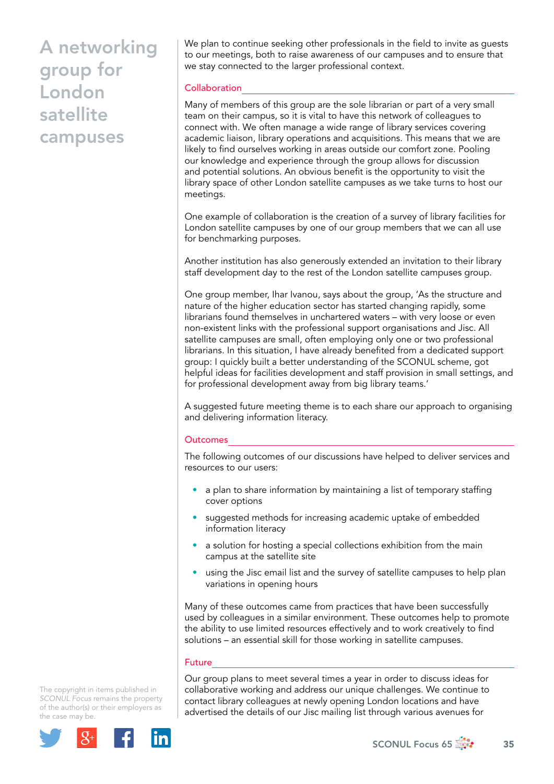We plan to continue seeking other professionals in the field to invite as guests to our meetings, both to raise awareness of our campuses and to ensure that we stay connected to the larger professional context.

### **Collaboration**

Many of members of this group are the sole librarian or part of a very small team on their campus, so it is vital to have this network of colleagues to connect with. We often manage a wide range of library services covering academic liaison, library operations and acquisitions. This means that we are likely to find ourselves working in areas outside our comfort zone. Pooling our knowledge and experience through the group allows for discussion and potential solutions. An obvious benefit is the opportunity to visit the library space of other London satellite campuses as we take turns to host our meetings.

One example of collaboration is the creation of a survey of library facilities for London satellite campuses by one of our group members that we can all use for benchmarking purposes.

Another institution has also generously extended an invitation to their library staff development day to the rest of the London satellite campuses group.

One group member, Ihar Ivanou, says about the group, 'As the structure and nature of the higher education sector has started changing rapidly, some librarians found themselves in unchartered waters – with very loose or even non-existent links with the professional support organisations and Jisc. All satellite campuses are small, often employing only one or two professional librarians. In this situation, I have already benefited from a dedicated support group: I quickly built a better understanding of the SCONUL scheme, got helpful ideas for facilities development and staff provision in small settings, and for professional development away from big library teams.'

A suggested future meeting theme is to each share our approach to organising and delivering information literacy.

### Outcomes

The following outcomes of our discussions have helped to deliver services and resources to our users:

- a plan to share information by maintaining a list of temporary staffing cover options
- suggested methods for increasing academic uptake of embedded information literacy
- a solution for hosting a special collections exhibition from the main campus at the satellite site
- using the Jisc email list and the survey of satellite campuses to help plan variations in opening hours

Many of these outcomes came from practices that have been successfully used by colleagues in a similar environment. These outcomes help to promote the ability to use limited resources effectively and to work creatively to find solutions – an essential skill for those working in satellite campuses.

### Future

Our group plans to meet several times a year in order to discuss ideas for collaborative working and address our unique challenges. We continue to contact library colleagues at newly opening London locations and have advertised the details of our Jisc mailing list through various avenues for

The copyright in items published in *SCONUL Focus* remains the property of the author(s) or their employers as the case may be.



SCONUL Focus 65  $\frac{1}{200}$  35